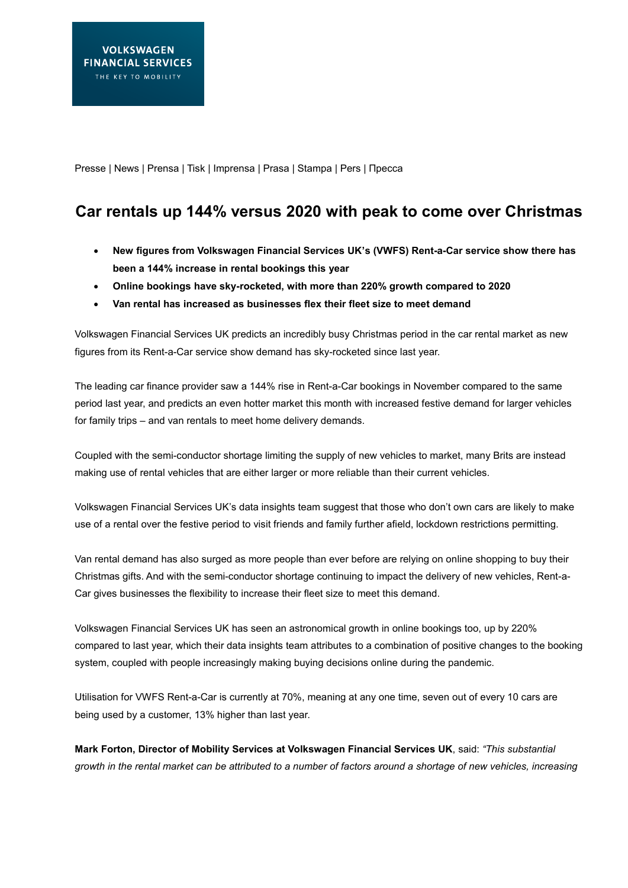Presse | News | Prensa | Tisk | Imprensa | Prasa | Stampa | Pers | Пресса

## **Car rentals up 144% versus 2020 with peak to come over Christmas**

- **New figures from Volkswagen Financial Services UK's (VWFS) Rent-a-Car service show there has been a 144% increase in rental bookings this year**
- **Online bookings have sky-rocketed, with more than 220% growth compared to 2020**
- **Van rental has increased as businesses flex their fleet size to meet demand**

Volkswagen Financial Services UK predicts an incredibly busy Christmas period in the car rental market as new figures from its Rent-a-Car service show demand has sky-rocketed since last year.

The leading car finance provider saw a 144% rise in Rent-a-Car bookings in November compared to the same period last year, and predicts an even hotter market this month with increased festive demand for larger vehicles for family trips – and van rentals to meet home delivery demands.

Coupled with the semi-conductor shortage limiting the supply of new vehicles to market, many Brits are instead making use of rental vehicles that are either larger or more reliable than their current vehicles.

Volkswagen Financial Services UK's data insights team suggest that those who don't own cars are likely to make use of a rental over the festive period to visit friends and family further afield, lockdown restrictions permitting.

Van rental demand has also surged as more people than ever before are relying on online shopping to buy their Christmas gifts. And with the semi-conductor shortage continuing to impact the delivery of new vehicles, Rent-a-Car gives businesses the flexibility to increase their fleet size to meet this demand.

Volkswagen Financial Services UK has seen an astronomical growth in online bookings too, up by 220% compared to last year, which their data insights team attributes to a combination of positive changes to the booking system, coupled with people increasingly making buying decisions online during the pandemic.

Utilisation for VWFS Rent-a-Car is currently at 70%, meaning at any one time, seven out of every 10 cars are being used by a customer, 13% higher than last year.

**Mark Forton, Director of Mobility Services at Volkswagen Financial Services UK**, said: *"This substantial growth in the rental market can be attributed to a number of factors around a shortage of new vehicles, increasing*